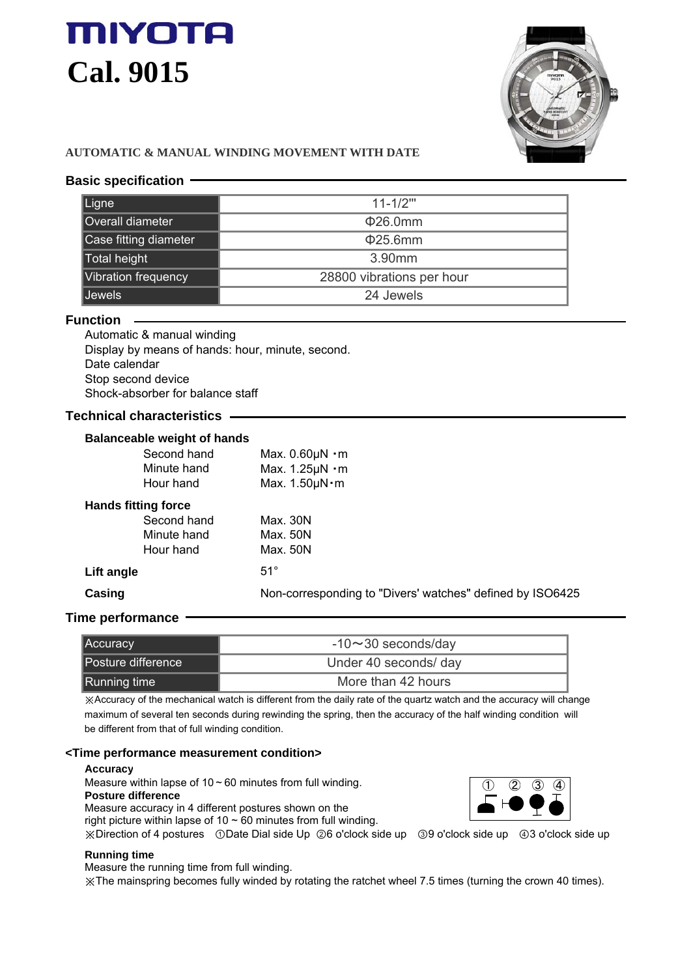# **MIYOTA Cal. 9015**



# **AUTOMATIC & MANUAL WINDING MOVEMENT WITH DATE**

# **Basic specification**

| Ligne                 | $11 - 1/2$ "              |
|-----------------------|---------------------------|
| Overall diameter      | $\Phi$ 26.0mm             |
| Case fitting diameter | $\Phi$ 25.6mm             |
| Total height          | 3.90mm                    |
| Vibration frequency   | 28800 vibrations per hour |
| <b>Jewels</b>         | 24 Jewels                 |

#### **Function**

Automatic & manual winding Display by means of hands: hour, minute, second. Date calendar Stop second device Shock-absorber for balance staff

# **Technical characteristics**

#### **Balanceable weight of hands**

|                            | Second hand | Max. $0.60 \mu N \cdot m$                                 |
|----------------------------|-------------|-----------------------------------------------------------|
|                            | Minute hand | Max. $1.25 \mu N \cdot m$                                 |
|                            | Hour hand   | Max. $1.50 \mu N \cdot m$                                 |
| <b>Hands fitting force</b> |             |                                                           |
|                            | Second hand | Max. 30N                                                  |
|                            | Minute hand | Max. 50N                                                  |
|                            | Hour hand   | Max. 50N                                                  |
| Lift angle                 |             | $51^\circ$                                                |
| Casing                     |             | Non-corresponding to "Divers' watches" defined by ISO6425 |
|                            |             |                                                           |

# **Time performance**

| <b>Accuracy</b>    | $-10 \sim 30$ seconds/day |
|--------------------|---------------------------|
| Posture difference | Under 40 seconds/ day     |
| Running time       | More than 42 hours        |

※Accuracy of the mechanical watch is different from the daily rate of the quartz watch and the accuracy will change maximum of several ten seconds during rewinding the spring, then the accuracy of the half winding condition will be different from that of full winding condition.

### **<Time performance measurement condition>**

#### **Accuracy**

Measure within lapse of  $10 \sim 60$  minutes from full winding.

**Posture difference** Measure accuracy in 4 different postures shown on the

right picture within lapse of 10  $\sim$  60 minutes from full winding.

※Direction of 4 postures ①Date Dial side Up ②6 o'clock side up ③9 o'clock side up ④3 o'clock side up

#### **Running time**

Measure the running time from full winding.

※The mainspring becomes fully winded by rotating the ratchet wheel 7.5 times (turning the crown 40 times).